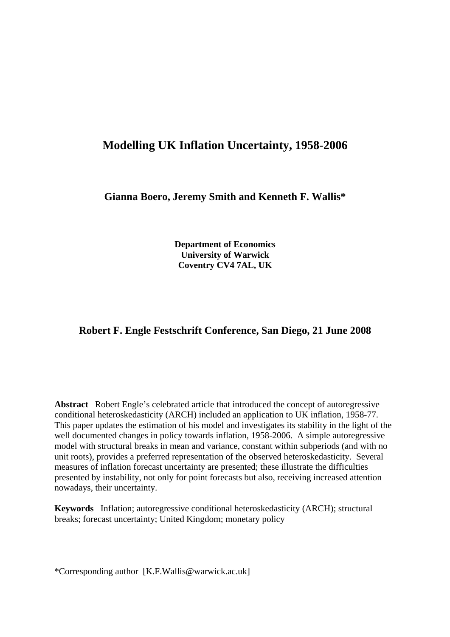# **Modelling UK Inflation Uncertainty, 1958-2006**

**Gianna Boero, Jeremy Smith and Kenneth F. Wallis\*** 

**Department of Economics University of Warwick Coventry CV4 7AL, UK** 

### **Robert F. Engle Festschrift Conference, San Diego, 21 June 2008**

**Abstract** Robert Engle's celebrated article that introduced the concept of autoregressive conditional heteroskedasticity (ARCH) included an application to UK inflation, 1958-77. This paper updates the estimation of his model and investigates its stability in the light of the well documented changes in policy towards inflation, 1958-2006. A simple autoregressive model with structural breaks in mean and variance, constant within subperiods (and with no unit roots), provides a preferred representation of the observed heteroskedasticity. Several measures of inflation forecast uncertainty are presented; these illustrate the difficulties presented by instability, not only for point forecasts but also, receiving increased attention nowadays, their uncertainty.

**Keywords** Inflation; autoregressive conditional heteroskedasticity (ARCH); structural breaks; forecast uncertainty; United Kingdom; monetary policy

\*Corresponding author [K.F.Wallis@warwick.ac.uk]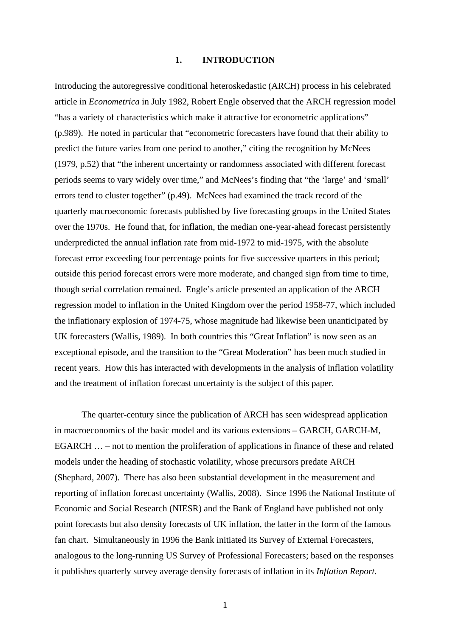#### **1. INTRODUCTION**

Introducing the autoregressive conditional heteroskedastic (ARCH) process in his celebrated article in *Econometrica* in July 1982, Robert Engle observed that the ARCH regression model "has a variety of characteristics which make it attractive for econometric applications" (p.989). He noted in particular that "econometric forecasters have found that their ability to predict the future varies from one period to another," citing the recognition by McNees (1979, p.52) that "the inherent uncertainty or randomness associated with different forecast periods seems to vary widely over time," and McNees's finding that "the 'large' and 'small' errors tend to cluster together" (p.49). McNees had examined the track record of the quarterly macroeconomic forecasts published by five forecasting groups in the United States over the 1970s. He found that, for inflation, the median one-year-ahead forecast persistently underpredicted the annual inflation rate from mid-1972 to mid-1975, with the absolute forecast error exceeding four percentage points for five successive quarters in this period; outside this period forecast errors were more moderate, and changed sign from time to time, though serial correlation remained. Engle's article presented an application of the ARCH regression model to inflation in the United Kingdom over the period 1958-77, which included the inflationary explosion of 1974-75, whose magnitude had likewise been unanticipated by UK forecasters (Wallis, 1989). In both countries this "Great Inflation" is now seen as an exceptional episode, and the transition to the "Great Moderation" has been much studied in recent years. How this has interacted with developments in the analysis of inflation volatility and the treatment of inflation forecast uncertainty is the subject of this paper.

 The quarter-century since the publication of ARCH has seen widespread application in macroeconomics of the basic model and its various extensions – GARCH, GARCH-M, EGARCH … – not to mention the proliferation of applications in finance of these and related models under the heading of stochastic volatility, whose precursors predate ARCH (Shephard, 2007). There has also been substantial development in the measurement and reporting of inflation forecast uncertainty (Wallis, 2008). Since 1996 the National Institute of Economic and Social Research (NIESR) and the Bank of England have published not only point forecasts but also density forecasts of UK inflation, the latter in the form of the famous fan chart. Simultaneously in 1996 the Bank initiated its Survey of External Forecasters, analogous to the long-running US Survey of Professional Forecasters; based on the responses it publishes quarterly survey average density forecasts of inflation in its *Inflation Report*.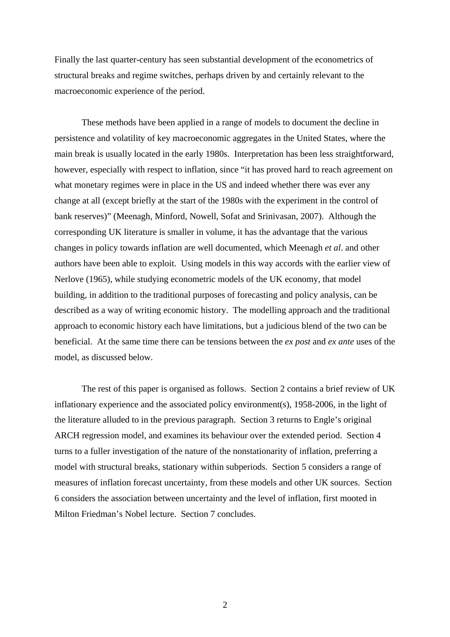Finally the last quarter-century has seen substantial development of the econometrics of structural breaks and regime switches, perhaps driven by and certainly relevant to the macroeconomic experience of the period.

 These methods have been applied in a range of models to document the decline in persistence and volatility of key macroeconomic aggregates in the United States, where the main break is usually located in the early 1980s. Interpretation has been less straightforward, however, especially with respect to inflation, since "it has proved hard to reach agreement on what monetary regimes were in place in the US and indeed whether there was ever any change at all (except briefly at the start of the 1980s with the experiment in the control of bank reserves)" (Meenagh, Minford, Nowell, Sofat and Srinivasan, 2007). Although the corresponding UK literature is smaller in volume, it has the advantage that the various changes in policy towards inflation are well documented, which Meenagh *et al*. and other authors have been able to exploit. Using models in this way accords with the earlier view of Nerlove (1965), while studying econometric models of the UK economy, that model building, in addition to the traditional purposes of forecasting and policy analysis, can be described as a way of writing economic history. The modelling approach and the traditional approach to economic history each have limitations, but a judicious blend of the two can be beneficial. At the same time there can be tensions between the *ex post* and *ex ante* uses of the model, as discussed below.

 The rest of this paper is organised as follows. Section 2 contains a brief review of UK inflationary experience and the associated policy environment(s), 1958-2006, in the light of the literature alluded to in the previous paragraph. Section 3 returns to Engle's original ARCH regression model, and examines its behaviour over the extended period. Section 4 turns to a fuller investigation of the nature of the nonstationarity of inflation, preferring a model with structural breaks, stationary within subperiods. Section 5 considers a range of measures of inflation forecast uncertainty, from these models and other UK sources. Section 6 considers the association between uncertainty and the level of inflation, first mooted in Milton Friedman's Nobel lecture. Section 7 concludes.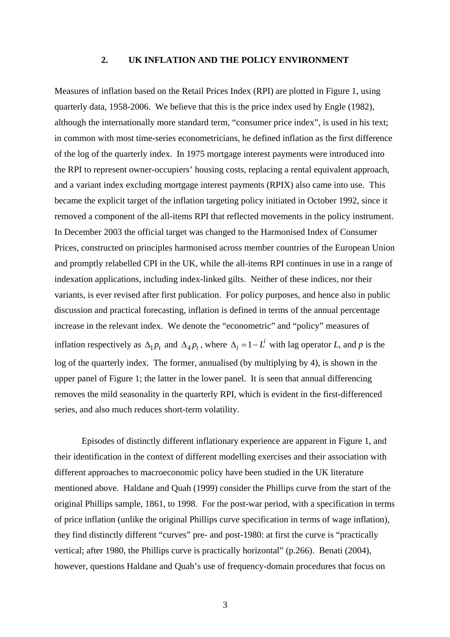#### **2. UK INFLATION AND THE POLICY ENVIRONMENT**

Measures of inflation based on the Retail Prices Index (RPI) are plotted in Figure 1, using quarterly data, 1958-2006. We believe that this is the price index used by Engle (1982), although the internationally more standard term, "consumer price index", is used in his text; in common with most time-series econometricians, he defined inflation as the first difference of the log of the quarterly index. In 1975 mortgage interest payments were introduced into the RPI to represent owner-occupiers' housing costs, replacing a rental equivalent approach, and a variant index excluding mortgage interest payments (RPIX) also came into use. This became the explicit target of the inflation targeting policy initiated in October 1992, since it removed a component of the all-items RPI that reflected movements in the policy instrument. In December 2003 the official target was changed to the Harmonised Index of Consumer Prices, constructed on principles harmonised across member countries of the European Union and promptly relabelled CPI in the UK, while the all-items RPI continues in use in a range of indexation applications, including index-linked gilts. Neither of these indices, nor their variants, is ever revised after first publication. For policy purposes, and hence also in public discussion and practical forecasting, inflation is defined in terms of the annual percentage increase in the relevant index. We denote the "econometric" and "policy" measures of inflation respectively as  $\Delta_1 p_t$  and  $\Delta_4 p_t$ , where  $\Delta_i = 1 - L^i$  with lag operator *L*, and *p* is the log of the quarterly index. The former, annualised (by multiplying by 4), is shown in the upper panel of Figure 1; the latter in the lower panel. It is seen that annual differencing removes the mild seasonality in the quarterly RPI, which is evident in the first-differenced series, and also much reduces short-term volatility.

 Episodes of distinctly different inflationary experience are apparent in Figure 1, and their identification in the context of different modelling exercises and their association with different approaches to macroeconomic policy have been studied in the UK literature mentioned above. Haldane and Quah (1999) consider the Phillips curve from the start of the original Phillips sample, 1861, to 1998. For the post-war period, with a specification in terms of price inflation (unlike the original Phillips curve specification in terms of wage inflation), they find distinctly different "curves" pre- and post-1980: at first the curve is "practically vertical; after 1980, the Phillips curve is practically horizontal" (p.266). Benati (2004), however, questions Haldane and Quah's use of frequency-domain procedures that focus on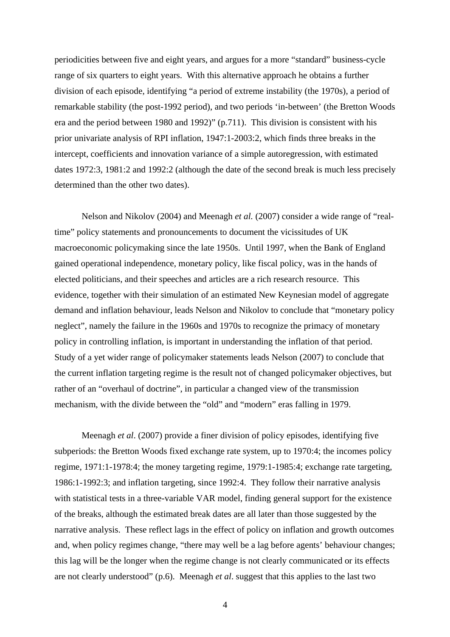periodicities between five and eight years, and argues for a more "standard" business-cycle range of six quarters to eight years. With this alternative approach he obtains a further division of each episode, identifying "a period of extreme instability (the 1970s), a period of remarkable stability (the post-1992 period), and two periods 'in-between' (the Bretton Woods era and the period between 1980 and 1992)" (p.711). This division is consistent with his prior univariate analysis of RPI inflation, 1947:1-2003:2, which finds three breaks in the intercept, coefficients and innovation variance of a simple autoregression, with estimated dates 1972:3, 1981:2 and 1992:2 (although the date of the second break is much less precisely determined than the other two dates).

 Nelson and Nikolov (2004) and Meenagh *et al.* (2007) consider a wide range of "realtime" policy statements and pronouncements to document the vicissitudes of UK macroeconomic policymaking since the late 1950s. Until 1997, when the Bank of England gained operational independence, monetary policy, like fiscal policy, was in the hands of elected politicians, and their speeches and articles are a rich research resource. This evidence, together with their simulation of an estimated New Keynesian model of aggregate demand and inflation behaviour, leads Nelson and Nikolov to conclude that "monetary policy neglect", namely the failure in the 1960s and 1970s to recognize the primacy of monetary policy in controlling inflation, is important in understanding the inflation of that period. Study of a yet wider range of policymaker statements leads Nelson (2007) to conclude that the current inflation targeting regime is the result not of changed policymaker objectives, but rather of an "overhaul of doctrine", in particular a changed view of the transmission mechanism, with the divide between the "old" and "modern" eras falling in 1979.

 Meenagh *et al*. (2007) provide a finer division of policy episodes, identifying five subperiods: the Bretton Woods fixed exchange rate system, up to 1970:4; the incomes policy regime, 1971:1-1978:4; the money targeting regime, 1979:1-1985:4; exchange rate targeting, 1986:1-1992:3; and inflation targeting, since 1992:4. They follow their narrative analysis with statistical tests in a three-variable VAR model, finding general support for the existence of the breaks, although the estimated break dates are all later than those suggested by the narrative analysis. These reflect lags in the effect of policy on inflation and growth outcomes and, when policy regimes change, "there may well be a lag before agents' behaviour changes; this lag will be the longer when the regime change is not clearly communicated or its effects are not clearly understood" (p.6). Meenagh *et al*. suggest that this applies to the last two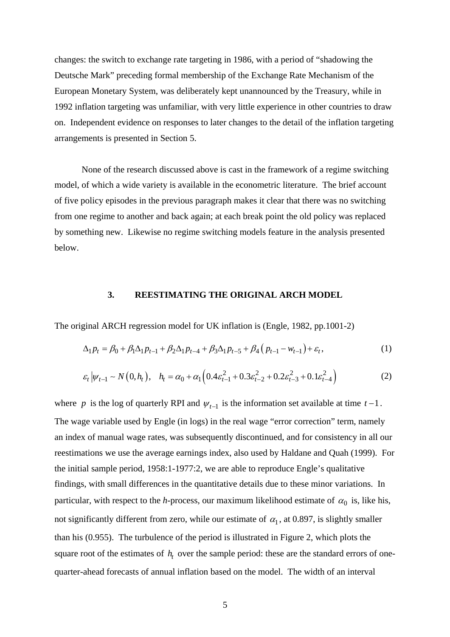changes: the switch to exchange rate targeting in 1986, with a period of "shadowing the Deutsche Mark" preceding formal membership of the Exchange Rate Mechanism of the European Monetary System, was deliberately kept unannounced by the Treasury, while in 1992 inflation targeting was unfamiliar, with very little experience in other countries to draw on. Independent evidence on responses to later changes to the detail of the inflation targeting arrangements is presented in Section 5.

 None of the research discussed above is cast in the framework of a regime switching model, of which a wide variety is available in the econometric literature. The brief account of five policy episodes in the previous paragraph makes it clear that there was no switching from one regime to another and back again; at each break point the old policy was replaced by something new. Likewise no regime switching models feature in the analysis presented below.

#### **3. REESTIMATING THE ORIGINAL ARCH MODEL**

The original ARCH regression model for UK inflation is (Engle, 1982, pp.1001-2)

$$
\Delta_1 p_t = \beta_0 + \beta_1 \Delta_1 p_{t-1} + \beta_2 \Delta_1 p_{t-4} + \beta_3 \Delta_1 p_{t-5} + \beta_4 (p_{t-1} - w_{t-1}) + \varepsilon_t,
$$
\n(1)

$$
\varepsilon_t \left| \psi_{t-1} \sim N(0, h_t) \right|, \quad h_t = \alpha_0 + \alpha_1 \left( 0.4 \varepsilon_{t-1}^2 + 0.3 \varepsilon_{t-2}^2 + 0.2 \varepsilon_{t-3}^2 + 0.1 \varepsilon_{t-4}^2 \right) \tag{2}
$$

where *p* is the log of quarterly RPI and  $\psi_{t-1}$  is the information set available at time  $t-1$ . The wage variable used by Engle (in logs) in the real wage "error correction" term, namely an index of manual wage rates, was subsequently discontinued, and for consistency in all our reestimations we use the average earnings index, also used by Haldane and Quah (1999). For the initial sample period, 1958:1-1977:2, we are able to reproduce Engle's qualitative findings, with small differences in the quantitative details due to these minor variations. In particular, with respect to the *h*-process, our maximum likelihood estimate of  $\alpha_0$  is, like his, not significantly different from zero, while our estimate of  $\alpha_1$ , at 0.897, is slightly smaller than his (0.955). The turbulence of the period is illustrated in Figure 2, which plots the square root of the estimates of  $h_t$  over the sample period: these are the standard errors of onequarter-ahead forecasts of annual inflation based on the model. The width of an interval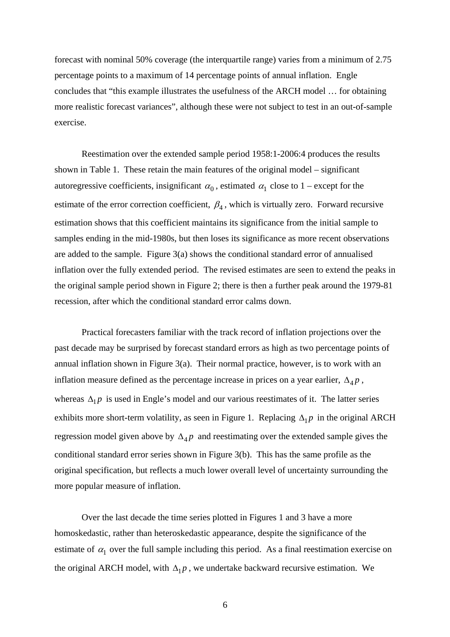forecast with nominal 50% coverage (the interquartile range) varies from a minimum of 2.75 percentage points to a maximum of 14 percentage points of annual inflation. Engle concludes that "this example illustrates the usefulness of the ARCH model … for obtaining more realistic forecast variances", although these were not subject to test in an out-of-sample exercise.

 Reestimation over the extended sample period 1958:1-2006:4 produces the results shown in Table 1. These retain the main features of the original model – significant autoregressive coefficients, insignificant  $\alpha_0$ , estimated  $\alpha_1$  close to 1 – except for the estimate of the error correction coefficient,  $\beta_4$ , which is virtually zero. Forward recursive estimation shows that this coefficient maintains its significance from the initial sample to samples ending in the mid-1980s, but then loses its significance as more recent observations are added to the sample. Figure 3(a) shows the conditional standard error of annualised inflation over the fully extended period. The revised estimates are seen to extend the peaks in the original sample period shown in Figure 2; there is then a further peak around the 1979-81 recession, after which the conditional standard error calms down.

 Practical forecasters familiar with the track record of inflation projections over the past decade may be surprised by forecast standard errors as high as two percentage points of annual inflation shown in Figure 3(a). Their normal practice, however, is to work with an inflation measure defined as the percentage increase in prices on a year earlier,  $\Delta_4 p$ , whereas  $\Delta_1 p$  is used in Engle's model and our various reestimates of it. The latter series exhibits more short-term volatility, as seen in Figure 1. Replacing  $\Delta_1 p$  in the original ARCH regression model given above by  $\Delta_4 p$  and reestimating over the extended sample gives the conditional standard error series shown in Figure 3(b). This has the same profile as the original specification, but reflects a much lower overall level of uncertainty surrounding the more popular measure of inflation.

 Over the last decade the time series plotted in Figures 1 and 3 have a more homoskedastic, rather than heteroskedastic appearance, despite the significance of the estimate of  $\alpha_1$  over the full sample including this period. As a final reestimation exercise on the original ARCH model, with  $\Delta_1 p$ , we undertake backward recursive estimation. We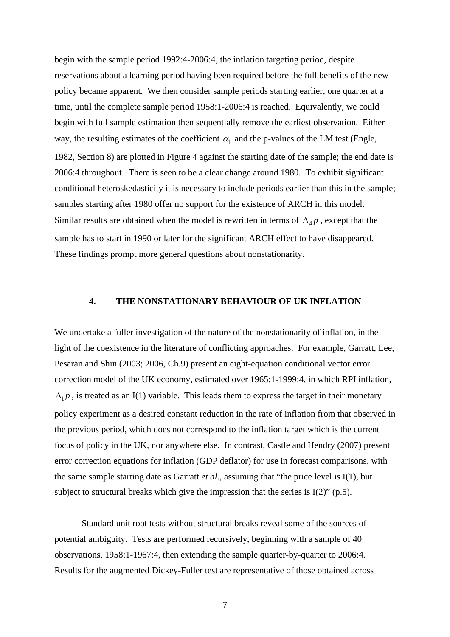begin with the sample period 1992:4-2006:4, the inflation targeting period, despite reservations about a learning period having been required before the full benefits of the new policy became apparent. We then consider sample periods starting earlier, one quarter at a time, until the complete sample period 1958:1-2006:4 is reached. Equivalently, we could begin with full sample estimation then sequentially remove the earliest observation. Either way, the resulting estimates of the coefficient  $\alpha_1$  and the p-values of the LM test (Engle, 1982, Section 8) are plotted in Figure 4 against the starting date of the sample; the end date is 2006:4 throughout. There is seen to be a clear change around 1980. To exhibit significant conditional heteroskedasticity it is necessary to include periods earlier than this in the sample; samples starting after 1980 offer no support for the existence of ARCH in this model. Similar results are obtained when the model is rewritten in terms of  $\Delta_4 p$ , except that the sample has to start in 1990 or later for the significant ARCH effect to have disappeared. These findings prompt more general questions about nonstationarity.

#### **4. THE NONSTATIONARY BEHAVIOUR OF UK INFLATION**

We undertake a fuller investigation of the nature of the nonstationarity of inflation, in the light of the coexistence in the literature of conflicting approaches. For example, Garratt, Lee, Pesaran and Shin (2003; 2006, Ch.9) present an eight-equation conditional vector error correction model of the UK economy, estimated over 1965:1-1999:4, in which RPI inflation,  $\Delta_1 p$ , is treated as an I(1) variable. This leads them to express the target in their monetary policy experiment as a desired constant reduction in the rate of inflation from that observed in the previous period, which does not correspond to the inflation target which is the current focus of policy in the UK, nor anywhere else. In contrast, Castle and Hendry (2007) present error correction equations for inflation (GDP deflator) for use in forecast comparisons, with the same sample starting date as Garratt *et al*., assuming that "the price level is I(1), but subject to structural breaks which give the impression that the series is I(2)" (p.5).

 Standard unit root tests without structural breaks reveal some of the sources of potential ambiguity. Tests are performed recursively, beginning with a sample of 40 observations, 1958:1-1967:4, then extending the sample quarter-by-quarter to 2006:4. Results for the augmented Dickey-Fuller test are representative of those obtained across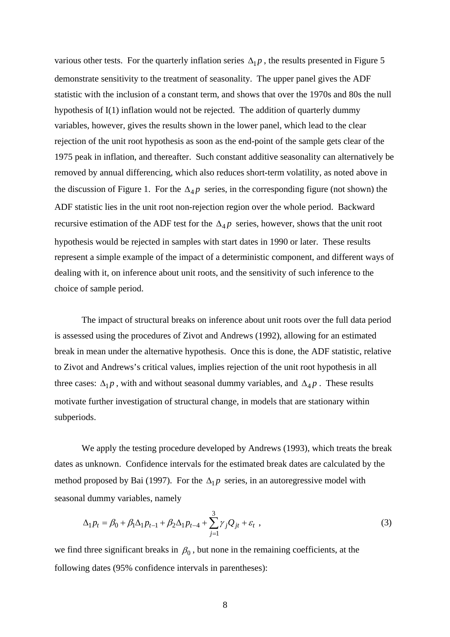various other tests. For the quarterly inflation series  $\Delta_1 p$ , the results presented in Figure 5 demonstrate sensitivity to the treatment of seasonality. The upper panel gives the ADF statistic with the inclusion of a constant term, and shows that over the 1970s and 80s the null hypothesis of I(1) inflation would not be rejected. The addition of quarterly dummy variables, however, gives the results shown in the lower panel, which lead to the clear rejection of the unit root hypothesis as soon as the end-point of the sample gets clear of the 1975 peak in inflation, and thereafter. Such constant additive seasonality can alternatively be removed by annual differencing, which also reduces short-term volatility, as noted above in the discussion of Figure 1. For the  $\Delta_4 p$  series, in the corresponding figure (not shown) the ADF statistic lies in the unit root non-rejection region over the whole period. Backward recursive estimation of the ADF test for the  $\Delta_4 p$  series, however, shows that the unit root hypothesis would be rejected in samples with start dates in 1990 or later. These results represent a simple example of the impact of a deterministic component, and different ways of dealing with it, on inference about unit roots, and the sensitivity of such inference to the choice of sample period.

 The impact of structural breaks on inference about unit roots over the full data period is assessed using the procedures of Zivot and Andrews (1992), allowing for an estimated break in mean under the alternative hypothesis. Once this is done, the ADF statistic, relative to Zivot and Andrews's critical values, implies rejection of the unit root hypothesis in all three cases:  $\Delta_1 p$ , with and without seasonal dummy variables, and  $\Delta_4 p$ . These results motivate further investigation of structural change, in models that are stationary within subperiods.

 We apply the testing procedure developed by Andrews (1993), which treats the break dates as unknown. Confidence intervals for the estimated break dates are calculated by the method proposed by Bai (1997). For the  $\Delta_1 p$  series, in an autoregressive model with seasonal dummy variables, namely

$$
\Delta_1 p_t = \beta_0 + \beta_1 \Delta_1 p_{t-1} + \beta_2 \Delta_1 p_{t-4} + \sum_{j=1}^3 \gamma_j Q_{jt} + \varepsilon_t,
$$
\n(3)

we find three significant breaks in  $\beta_0$ , but none in the remaining coefficients, at the following dates (95% confidence intervals in parentheses):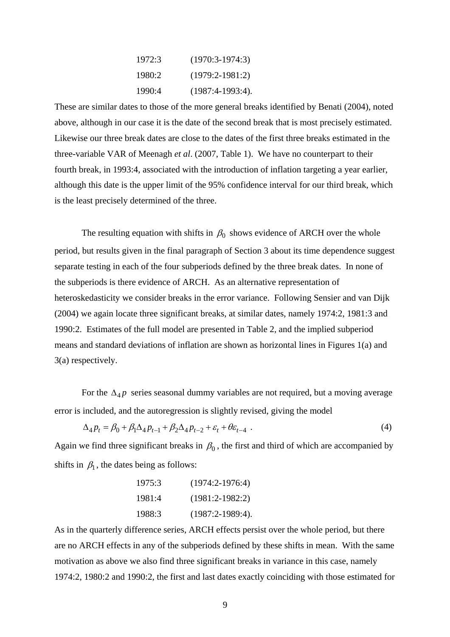| 1972:3 | $(1970:3-1974:3)$   |
|--------|---------------------|
| 1980:2 | $(1979:2-1981:2)$   |
| 1990:4 | $(1987:4-1993:4)$ . |

These are similar dates to those of the more general breaks identified by Benati (2004), noted above, although in our case it is the date of the second break that is most precisely estimated. Likewise our three break dates are close to the dates of the first three breaks estimated in the three-variable VAR of Meenagh *et al*. (2007, Table 1). We have no counterpart to their fourth break, in 1993:4, associated with the introduction of inflation targeting a year earlier, although this date is the upper limit of the 95% confidence interval for our third break, which is the least precisely determined of the three.

The resulting equation with shifts in  $\beta_0$  shows evidence of ARCH over the whole period, but results given in the final paragraph of Section 3 about its time dependence suggest separate testing in each of the four subperiods defined by the three break dates. In none of the subperiods is there evidence of ARCH. As an alternative representation of heteroskedasticity we consider breaks in the error variance. Following Sensier and van Dijk (2004) we again locate three significant breaks, at similar dates, namely 1974:2, 1981:3 and 1990:2. Estimates of the full model are presented in Table 2, and the implied subperiod means and standard deviations of inflation are shown as horizontal lines in Figures 1(a) and 3(a) respectively.

For the  $\Delta_{4} p$  series seasonal dummy variables are not required, but a moving average error is included, and the autoregression is slightly revised, giving the model

$$
\Delta_4 p_t = \beta_0 + \beta_1 \Delta_4 p_{t-1} + \beta_2 \Delta_4 p_{t-2} + \varepsilon_t + \theta \varepsilon_{t-4} \tag{4}
$$

Again we find three significant breaks in  $\beta_0$ , the first and third of which are accompanied by shifts in  $\beta_1$ , the dates being as follows:

| 1975:3 | $(1974:2-1976:4)$   |
|--------|---------------------|
| 1981:4 | $(1981:2-1982:2)$   |
| 1988:3 | $(1987:2-1989:4)$ . |

As in the quarterly difference series, ARCH effects persist over the whole period, but there are no ARCH effects in any of the subperiods defined by these shifts in mean. With the same motivation as above we also find three significant breaks in variance in this case, namely 1974:2, 1980:2 and 1990:2, the first and last dates exactly coinciding with those estimated for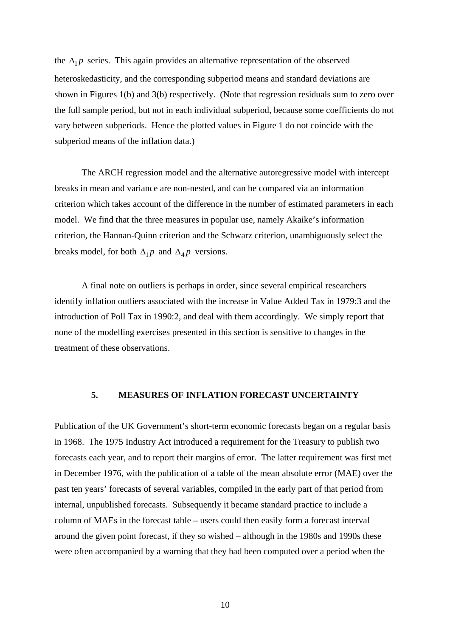the  $\Delta_1 p$  series. This again provides an alternative representation of the observed heteroskedasticity, and the corresponding subperiod means and standard deviations are shown in Figures 1(b) and 3(b) respectively. (Note that regression residuals sum to zero over the full sample period, but not in each individual subperiod, because some coefficients do not vary between subperiods. Hence the plotted values in Figure 1 do not coincide with the subperiod means of the inflation data.)

 The ARCH regression model and the alternative autoregressive model with intercept breaks in mean and variance are non-nested, and can be compared via an information criterion which takes account of the difference in the number of estimated parameters in each model. We find that the three measures in popular use, namely Akaike's information criterion, the Hannan-Quinn criterion and the Schwarz criterion, unambiguously select the breaks model, for both  $\Delta_1 p$  and  $\Delta_2 p$  versions.

 A final note on outliers is perhaps in order, since several empirical researchers identify inflation outliers associated with the increase in Value Added Tax in 1979:3 and the introduction of Poll Tax in 1990:2, and deal with them accordingly. We simply report that none of the modelling exercises presented in this section is sensitive to changes in the treatment of these observations.

#### **5. MEASURES OF INFLATION FORECAST UNCERTAINTY**

Publication of the UK Government's short-term economic forecasts began on a regular basis in 1968. The 1975 Industry Act introduced a requirement for the Treasury to publish two forecasts each year, and to report their margins of error. The latter requirement was first met in December 1976, with the publication of a table of the mean absolute error (MAE) over the past ten years' forecasts of several variables, compiled in the early part of that period from internal, unpublished forecasts. Subsequently it became standard practice to include a column of MAEs in the forecast table – users could then easily form a forecast interval around the given point forecast, if they so wished – although in the 1980s and 1990s these were often accompanied by a warning that they had been computed over a period when the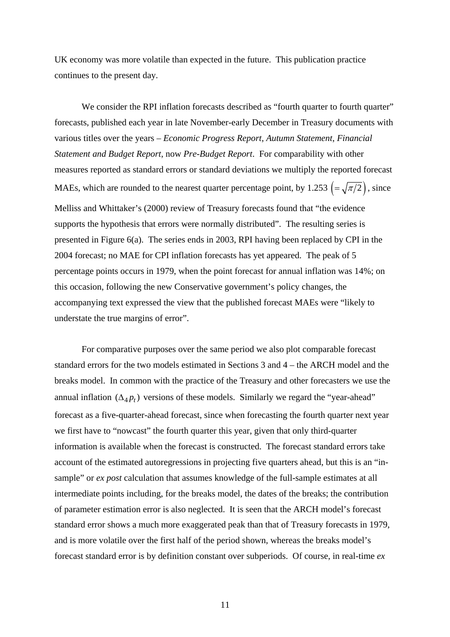UK economy was more volatile than expected in the future. This publication practice continues to the present day.

We consider the RPI inflation forecasts described as "fourth quarter to fourth quarter" forecasts, published each year in late November-early December in Treasury documents with various titles over the years – *Economic Progress Report*, *Autumn Statement*, *Financial Statement and Budget Report*, now *Pre-Budget Report*. For comparability with other measures reported as standard errors or standard deviations we multiply the reported forecast MAEs, which are rounded to the nearest quarter percentage point, by 1.253  $\left(=\sqrt{\pi/2}\right)$ , since Melliss and Whittaker's (2000) review of Treasury forecasts found that "the evidence supports the hypothesis that errors were normally distributed". The resulting series is presented in Figure 6(a). The series ends in 2003, RPI having been replaced by CPI in the 2004 forecast; no MAE for CPI inflation forecasts has yet appeared. The peak of 5 percentage points occurs in 1979, when the point forecast for annual inflation was 14%; on this occasion, following the new Conservative government's policy changes, the accompanying text expressed the view that the published forecast MAEs were "likely to understate the true margins of error".

For comparative purposes over the same period we also plot comparable forecast standard errors for the two models estimated in Sections 3 and 4 – the ARCH model and the breaks model. In common with the practice of the Treasury and other forecasters we use the annual inflation  $(\Delta_4 p_t)$  versions of these models. Similarly we regard the "year-ahead" forecast as a five-quarter-ahead forecast, since when forecasting the fourth quarter next year we first have to "nowcast" the fourth quarter this year, given that only third-quarter information is available when the forecast is constructed. The forecast standard errors take account of the estimated autoregressions in projecting five quarters ahead, but this is an "insample" or *ex post* calculation that assumes knowledge of the full-sample estimates at all intermediate points including, for the breaks model, the dates of the breaks; the contribution of parameter estimation error is also neglected. It is seen that the ARCH model's forecast standard error shows a much more exaggerated peak than that of Treasury forecasts in 1979, and is more volatile over the first half of the period shown, whereas the breaks model's forecast standard error is by definition constant over subperiods. Of course, in real-time *ex*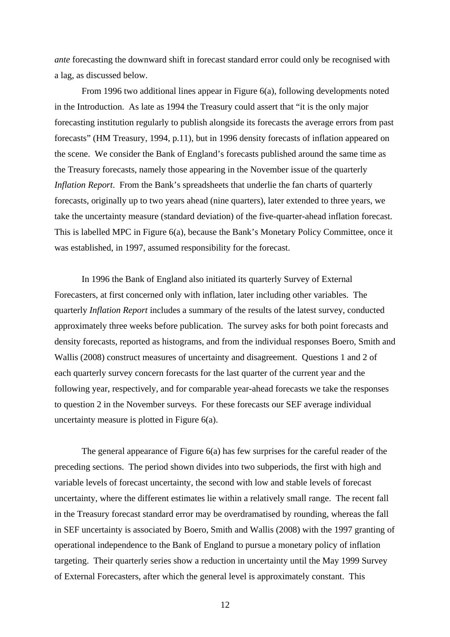*ante* forecasting the downward shift in forecast standard error could only be recognised with a lag, as discussed below.

 From 1996 two additional lines appear in Figure 6(a), following developments noted in the Introduction. As late as 1994 the Treasury could assert that "it is the only major forecasting institution regularly to publish alongside its forecasts the average errors from past forecasts" (HM Treasury, 1994, p.11), but in 1996 density forecasts of inflation appeared on the scene. We consider the Bank of England's forecasts published around the same time as the Treasury forecasts, namely those appearing in the November issue of the quarterly *Inflation Report*. From the Bank's spreadsheets that underlie the fan charts of quarterly forecasts, originally up to two years ahead (nine quarters), later extended to three years, we take the uncertainty measure (standard deviation) of the five-quarter-ahead inflation forecast. This is labelled MPC in Figure 6(a), because the Bank's Monetary Policy Committee, once it was established, in 1997, assumed responsibility for the forecast.

 In 1996 the Bank of England also initiated its quarterly Survey of External Forecasters, at first concerned only with inflation, later including other variables. The quarterly *Inflation Report* includes a summary of the results of the latest survey, conducted approximately three weeks before publication. The survey asks for both point forecasts and density forecasts, reported as histograms, and from the individual responses Boero, Smith and Wallis (2008) construct measures of uncertainty and disagreement. Questions 1 and 2 of each quarterly survey concern forecasts for the last quarter of the current year and the following year, respectively, and for comparable year-ahead forecasts we take the responses to question 2 in the November surveys. For these forecasts our SEF average individual uncertainty measure is plotted in Figure 6(a).

 The general appearance of Figure 6(a) has few surprises for the careful reader of the preceding sections. The period shown divides into two subperiods, the first with high and variable levels of forecast uncertainty, the second with low and stable levels of forecast uncertainty, where the different estimates lie within a relatively small range. The recent fall in the Treasury forecast standard error may be overdramatised by rounding, whereas the fall in SEF uncertainty is associated by Boero, Smith and Wallis (2008) with the 1997 granting of operational independence to the Bank of England to pursue a monetary policy of inflation targeting. Their quarterly series show a reduction in uncertainty until the May 1999 Survey of External Forecasters, after which the general level is approximately constant. This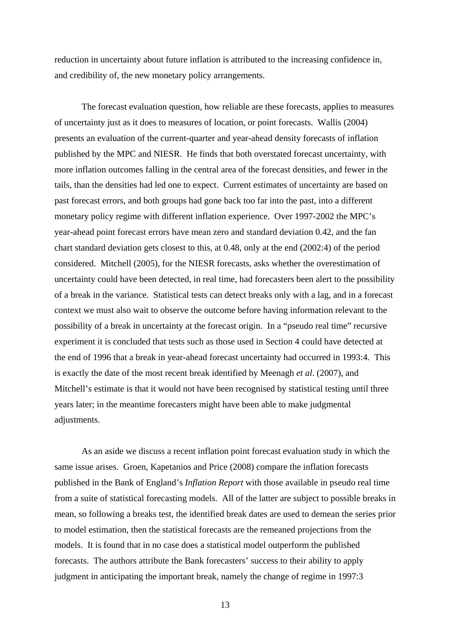reduction in uncertainty about future inflation is attributed to the increasing confidence in, and credibility of, the new monetary policy arrangements.

 The forecast evaluation question, how reliable are these forecasts, applies to measures of uncertainty just as it does to measures of location, or point forecasts. Wallis (2004) presents an evaluation of the current-quarter and year-ahead density forecasts of inflation published by the MPC and NIESR. He finds that both overstated forecast uncertainty, with more inflation outcomes falling in the central area of the forecast densities, and fewer in the tails, than the densities had led one to expect. Current estimates of uncertainty are based on past forecast errors, and both groups had gone back too far into the past, into a different monetary policy regime with different inflation experience. Over 1997-2002 the MPC's year-ahead point forecast errors have mean zero and standard deviation 0.42, and the fan chart standard deviation gets closest to this, at 0.48, only at the end (2002:4) of the period considered. Mitchell (2005), for the NIESR forecasts, asks whether the overestimation of uncertainty could have been detected, in real time, had forecasters been alert to the possibility of a break in the variance. Statistical tests can detect breaks only with a lag, and in a forecast context we must also wait to observe the outcome before having information relevant to the possibility of a break in uncertainty at the forecast origin. In a "pseudo real time" recursive experiment it is concluded that tests such as those used in Section 4 could have detected at the end of 1996 that a break in year-ahead forecast uncertainty had occurred in 1993:4. This is exactly the date of the most recent break identified by Meenagh *et al*. (2007), and Mitchell's estimate is that it would not have been recognised by statistical testing until three years later; in the meantime forecasters might have been able to make judgmental adjustments.

 As an aside we discuss a recent inflation point forecast evaluation study in which the same issue arises. Groen, Kapetanios and Price (2008) compare the inflation forecasts published in the Bank of England's *Inflation Report* with those available in pseudo real time from a suite of statistical forecasting models. All of the latter are subject to possible breaks in mean, so following a breaks test, the identified break dates are used to demean the series prior to model estimation, then the statistical forecasts are the remeaned projections from the models. It is found that in no case does a statistical model outperform the published forecasts. The authors attribute the Bank forecasters' success to their ability to apply judgment in anticipating the important break, namely the change of regime in 1997:3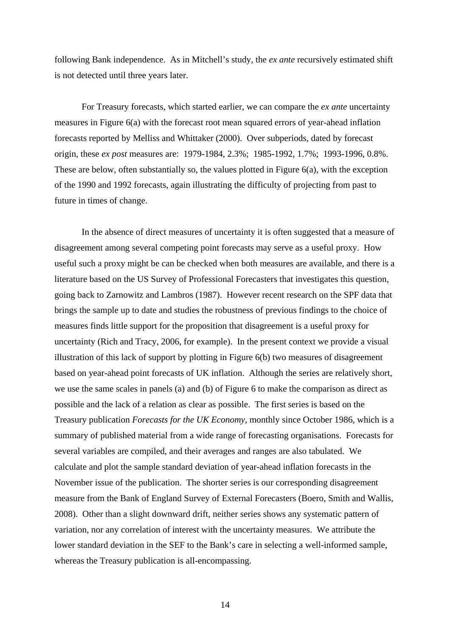following Bank independence. As in Mitchell's study, the *ex ante* recursively estimated shift is not detected until three years later.

 For Treasury forecasts, which started earlier, we can compare the *ex ante* uncertainty measures in Figure 6(a) with the forecast root mean squared errors of year-ahead inflation forecasts reported by Melliss and Whittaker (2000). Over subperiods, dated by forecast origin, these *ex post* measures are: 1979-1984, 2.3%; 1985-1992, 1.7%; 1993-1996, 0.8%. These are below, often substantially so, the values plotted in Figure 6(a), with the exception of the 1990 and 1992 forecasts, again illustrating the difficulty of projecting from past to future in times of change.

 In the absence of direct measures of uncertainty it is often suggested that a measure of disagreement among several competing point forecasts may serve as a useful proxy. How useful such a proxy might be can be checked when both measures are available, and there is a literature based on the US Survey of Professional Forecasters that investigates this question, going back to Zarnowitz and Lambros (1987). However recent research on the SPF data that brings the sample up to date and studies the robustness of previous findings to the choice of measures finds little support for the proposition that disagreement is a useful proxy for uncertainty (Rich and Tracy, 2006, for example). In the present context we provide a visual illustration of this lack of support by plotting in Figure 6(b) two measures of disagreement based on year-ahead point forecasts of UK inflation. Although the series are relatively short, we use the same scales in panels (a) and (b) of Figure 6 to make the comparison as direct as possible and the lack of a relation as clear as possible. The first series is based on the Treasury publication *Forecasts for the UK Economy*, monthly since October 1986, which is a summary of published material from a wide range of forecasting organisations. Forecasts for several variables are compiled, and their averages and ranges are also tabulated. We calculate and plot the sample standard deviation of year-ahead inflation forecasts in the November issue of the publication. The shorter series is our corresponding disagreement measure from the Bank of England Survey of External Forecasters (Boero, Smith and Wallis, 2008). Other than a slight downward drift, neither series shows any systematic pattern of variation, nor any correlation of interest with the uncertainty measures. We attribute the lower standard deviation in the SEF to the Bank's care in selecting a well-informed sample, whereas the Treasury publication is all-encompassing.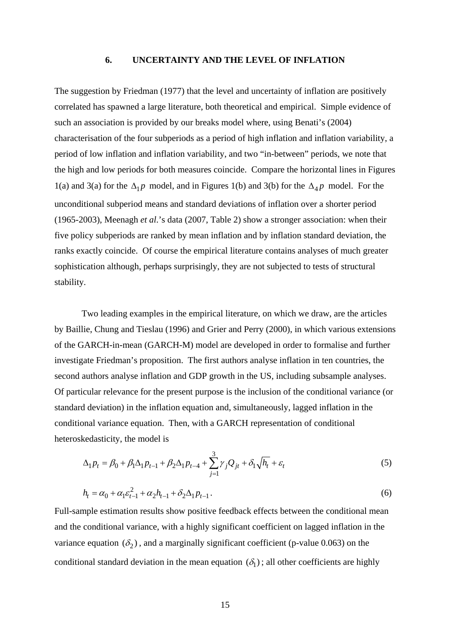#### **6. UNCERTAINTY AND THE LEVEL OF INFLATION**

The suggestion by Friedman (1977) that the level and uncertainty of inflation are positively correlated has spawned a large literature, both theoretical and empirical. Simple evidence of such an association is provided by our breaks model where, using Benati's (2004) characterisation of the four subperiods as a period of high inflation and inflation variability, a period of low inflation and inflation variability, and two "in-between" periods, we note that the high and low periods for both measures coincide. Compare the horizontal lines in Figures 1(a) and 3(a) for the  $\Delta_1 p$  model, and in Figures 1(b) and 3(b) for the  $\Delta_4 p$  model. For the unconditional subperiod means and standard deviations of inflation over a shorter period (1965-2003), Meenagh *et al*.'s data (2007, Table 2) show a stronger association: when their five policy subperiods are ranked by mean inflation and by inflation standard deviation, the ranks exactly coincide. Of course the empirical literature contains analyses of much greater sophistication although, perhaps surprisingly, they are not subjected to tests of structural stability.

 Two leading examples in the empirical literature, on which we draw, are the articles by Baillie, Chung and Tieslau (1996) and Grier and Perry (2000), in which various extensions of the GARCH-in-mean (GARCH-M) model are developed in order to formalise and further investigate Friedman's proposition. The first authors analyse inflation in ten countries, the second authors analyse inflation and GDP growth in the US, including subsample analyses. Of particular relevance for the present purpose is the inclusion of the conditional variance (or standard deviation) in the inflation equation and, simultaneously, lagged inflation in the conditional variance equation. Then, with a GARCH representation of conditional heteroskedasticity, the model is

$$
\Delta_1 p_t = \beta_0 + \beta_1 \Delta_1 p_{t-1} + \beta_2 \Delta_1 p_{t-4} + \sum_{j=1}^3 \gamma_j Q_{jt} + \delta_1 \sqrt{h_t} + \varepsilon_t
$$
\n(5)

$$
h_t = \alpha_0 + \alpha_1 \varepsilon_{t-1}^2 + \alpha_2 h_{t-1} + \delta_2 \Delta_1 p_{t-1}.
$$
\n(6)

Full-sample estimation results show positive feedback effects between the conditional mean and the conditional variance, with a highly significant coefficient on lagged inflation in the variance equation  $(\delta_2)$ , and a marginally significant coefficient (p-value 0.063) on the conditional standard deviation in the mean equation  $(\delta_1)$ ; all other coefficients are highly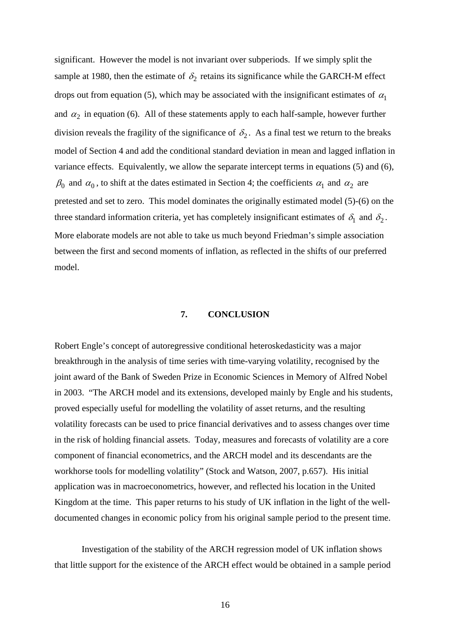significant. However the model is not invariant over subperiods. If we simply split the sample at 1980, then the estimate of  $\delta_2$  retains its significance while the GARCH-M effect drops out from equation (5), which may be associated with the insignificant estimates of  $\alpha_1$ and  $\alpha_2$  in equation (6). All of these statements apply to each half-sample, however further division reveals the fragility of the significance of  $\delta_2$ . As a final test we return to the breaks model of Section 4 and add the conditional standard deviation in mean and lagged inflation in variance effects. Equivalently, we allow the separate intercept terms in equations (5) and (6),  $\beta_0$  and  $\alpha_0$ , to shift at the dates estimated in Section 4; the coefficients  $\alpha_1$  and  $\alpha_2$  are pretested and set to zero. This model dominates the originally estimated model (5)-(6) on the three standard information criteria, yet has completely insignificant estimates of  $\delta_1$  and  $\delta_2$ . More elaborate models are not able to take us much beyond Friedman's simple association between the first and second moments of inflation, as reflected in the shifts of our preferred model.

#### **7. CONCLUSION**

Robert Engle's concept of autoregressive conditional heteroskedasticity was a major breakthrough in the analysis of time series with time-varying volatility, recognised by the joint award of the Bank of Sweden Prize in Economic Sciences in Memory of Alfred Nobel in 2003. "The ARCH model and its extensions, developed mainly by Engle and his students, proved especially useful for modelling the volatility of asset returns, and the resulting volatility forecasts can be used to price financial derivatives and to assess changes over time in the risk of holding financial assets. Today, measures and forecasts of volatility are a core component of financial econometrics, and the ARCH model and its descendants are the workhorse tools for modelling volatility" (Stock and Watson, 2007, p.657). His initial application was in macroeconometrics, however, and reflected his location in the United Kingdom at the time. This paper returns to his study of UK inflation in the light of the welldocumented changes in economic policy from his original sample period to the present time.

 Investigation of the stability of the ARCH regression model of UK inflation shows that little support for the existence of the ARCH effect would be obtained in a sample period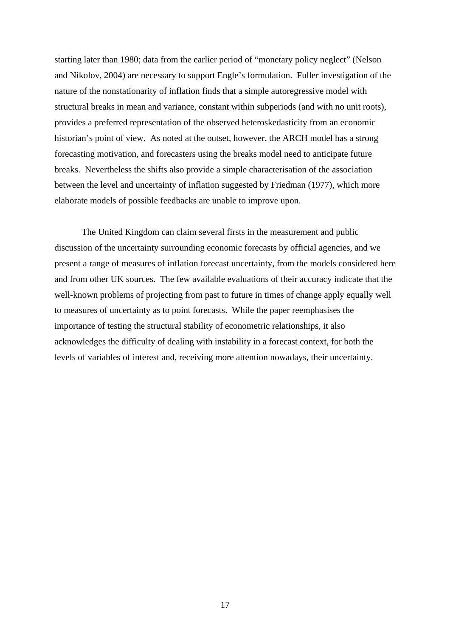starting later than 1980; data from the earlier period of "monetary policy neglect" (Nelson and Nikolov, 2004) are necessary to support Engle's formulation. Fuller investigation of the nature of the nonstationarity of inflation finds that a simple autoregressive model with structural breaks in mean and variance, constant within subperiods (and with no unit roots), provides a preferred representation of the observed heteroskedasticity from an economic historian's point of view. As noted at the outset, however, the ARCH model has a strong forecasting motivation, and forecasters using the breaks model need to anticipate future breaks. Nevertheless the shifts also provide a simple characterisation of the association between the level and uncertainty of inflation suggested by Friedman (1977), which more elaborate models of possible feedbacks are unable to improve upon.

 The United Kingdom can claim several firsts in the measurement and public discussion of the uncertainty surrounding economic forecasts by official agencies, and we present a range of measures of inflation forecast uncertainty, from the models considered here and from other UK sources. The few available evaluations of their accuracy indicate that the well-known problems of projecting from past to future in times of change apply equally well to measures of uncertainty as to point forecasts. While the paper reemphasises the importance of testing the structural stability of econometric relationships, it also acknowledges the difficulty of dealing with instability in a forecast context, for both the levels of variables of interest and, receiving more attention nowadays, their uncertainty.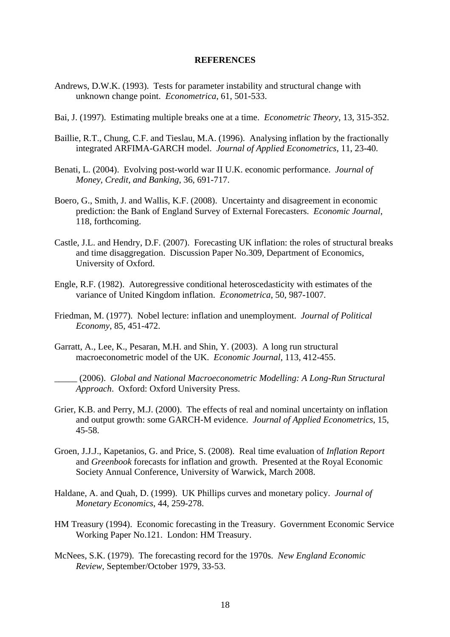#### **REFERENCES**

- Andrews, D.W.K. (1993). Tests for parameter instability and structural change with unknown change point. *Econometrica*, 61, 501-533.
- Bai, J. (1997). Estimating multiple breaks one at a time. *Econometric Theory*, 13, 315-352.
- Baillie, R.T., Chung, C.F. and Tieslau, M.A. (1996). Analysing inflation by the fractionally integrated ARFIMA-GARCH model. *Journal of Applied Econometrics*, 11, 23-40.
- Benati, L. (2004). Evolving post-world war II U.K. economic performance. *Journal of Money, Credit, and Banking*, 36, 691-717.
- Boero, G., Smith, J. and Wallis, K.F. (2008). Uncertainty and disagreement in economic prediction: the Bank of England Survey of External Forecasters. *Economic Journal*, 118, forthcoming.
- Castle, J.L. and Hendry, D.F. (2007). Forecasting UK inflation: the roles of structural breaks and time disaggregation. Discussion Paper No.309, Department of Economics, University of Oxford.
- Engle, R.F. (1982). Autoregressive conditional heteroscedasticity with estimates of the variance of United Kingdom inflation. *Econometrica*, 50, 987-1007.
- Friedman, M. (1977). Nobel lecture: inflation and unemployment. *Journal of Political Economy*, 85, 451-472.
- Garratt, A., Lee, K., Pesaran, M.H. and Shin, Y. (2003). A long run structural macroeconometric model of the UK. *Economic Journal*, 113, 412-455.
	- \_\_\_\_\_ (2006). *Global and National Macroeconometric Modelling: A Long-Run Structural Approach*. Oxford: Oxford University Press.
- Grier, K.B. and Perry, M.J. (2000). The effects of real and nominal uncertainty on inflation and output growth: some GARCH-M evidence. *Journal of Applied Econometrics*, 15, 45-58.
- Groen, J.J.J., Kapetanios, G. and Price, S. (2008). Real time evaluation of *Inflation Report* and *Greenbook* forecasts for inflation and growth. Presented at the Royal Economic Society Annual Conference, University of Warwick, March 2008.
- Haldane, A. and Quah, D. (1999). UK Phillips curves and monetary policy. *Journal of Monetary Economics*, 44, 259-278.
- HM Treasury (1994). Economic forecasting in the Treasury. Government Economic Service Working Paper No.121. London: HM Treasury.
- McNees, S.K. (1979). The forecasting record for the 1970s. *New England Economic Review*, September/October 1979, 33-53.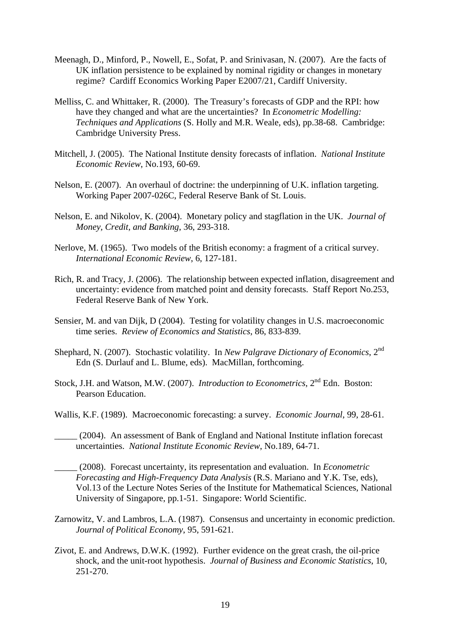- Meenagh, D., Minford, P., Nowell, E., Sofat, P. and Srinivasan, N. (2007). Are the facts of UK inflation persistence to be explained by nominal rigidity or changes in monetary regime? Cardiff Economics Working Paper E2007/21, Cardiff University.
- Melliss, C. and Whittaker, R. (2000). The Treasury's forecasts of GDP and the RPI: how have they changed and what are the uncertainties? In *Econometric Modelling: Techniques and Applications* (S. Holly and M.R. Weale, eds), pp.38-68. Cambridge: Cambridge University Press.
- Mitchell, J. (2005). The National Institute density forecasts of inflation. *National Institute Economic Review*, No.193, 60-69.
- Nelson, E. (2007). An overhaul of doctrine: the underpinning of U.K. inflation targeting. Working Paper 2007-026C, Federal Reserve Bank of St. Louis.
- Nelson, E. and Nikolov, K. (2004). Monetary policy and stagflation in the UK. *Journal of Money, Credit, and Banking*, 36, 293-318.
- Nerlove, M. (1965). Two models of the British economy: a fragment of a critical survey. *International Economic Review*, 6, 127-181.
- Rich, R. and Tracy, J. (2006). The relationship between expected inflation, disagreement and uncertainty: evidence from matched point and density forecasts. Staff Report No.253, Federal Reserve Bank of New York.
- Sensier, M. and van Dijk, D (2004). Testing for volatility changes in U.S. macroeconomic time series. *Review of Economics and Statistics*, 86, 833-839.
- Shephard, N. (2007). Stochastic volatility. In *New Palgrave Dictionary of Economics*, 2nd Edn (S. Durlauf and L. Blume, eds). MacMillan, forthcoming.
- Stock, J.H. and Watson, M.W. (2007). *Introduction to Econometrics*, 2<sup>nd</sup> Edn. Boston: Pearson Education.
- Wallis, K.F. (1989). Macroeconomic forecasting: a survey. *Economic Journal*, 99, 28-61.
- \_\_\_\_\_ (2004). An assessment of Bank of England and National Institute inflation forecast uncertainties. *National Institute Economic Review*, No.189, 64-71.
- \_\_\_\_\_ (2008). Forecast uncertainty, its representation and evaluation. In *Econometric Forecasting and High-Frequency Data Analysis* (R.S. Mariano and Y.K. Tse, eds), Vol.13 of the Lecture Notes Series of the Institute for Mathematical Sciences, National University of Singapore, pp.1-51. Singapore: World Scientific.
- Zarnowitz, V. and Lambros, L.A. (1987). Consensus and uncertainty in economic prediction. *Journal of Political Economy*, 95, 591-621.
- Zivot, E. and Andrews, D.W.K. (1992). Further evidence on the great crash, the oil-price shock, and the unit-root hypothesis. *Journal of Business and Economic Statistics*, 10, 251-270.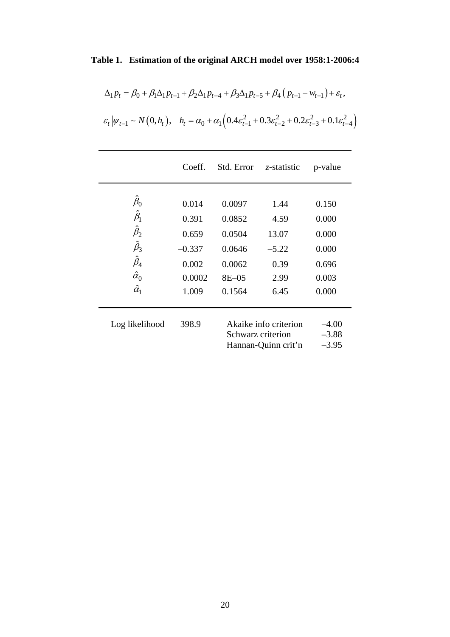# **Table 1. Estimation of the original ARCH model over 1958:1-2006:4**

$$
\Delta_1 p_t = \beta_0 + \beta_1 \Delta_1 p_{t-1} + \beta_2 \Delta_1 p_{t-4} + \beta_3 \Delta_1 p_{t-5} + \beta_4 (p_{t-1} - w_{t-1}) + \varepsilon_t,
$$
  

$$
\varepsilon_t |\psi_{t-1} \sim N(0, h_t), \quad h_t = \alpha_0 + \alpha_1 \Big( 0.4 \varepsilon_{t-1}^2 + 0.3 \varepsilon_{t-2}^2 + 0.2 \varepsilon_{t-3}^2 + 0.1 \varepsilon_{t-4}^2 \Big)
$$

| $\hat \beta_0$<br>0.014<br>0.0097<br>1.44<br>$\hat{\beta}_\text{l}$<br>0.391<br>0.0852<br>4.59<br>$\hat{\beta}_2$<br>0.0504<br>0.659<br>13.07<br>$\hat{\beta}_3$<br>$-0.337$<br>0.0646<br>$-5.22$<br>$\hat{\beta}_4$<br>0.002<br>0.0062<br>0.39<br>$\hat{\alpha}_0$<br>0.0002<br>$8E - 05$<br>2.99<br>$\hat{\alpha}_1$<br>1.009<br>0.1564<br>6.45 | p-value | z-statistic | Std. Error | Coeff. |  |
|---------------------------------------------------------------------------------------------------------------------------------------------------------------------------------------------------------------------------------------------------------------------------------------------------------------------------------------------------|---------|-------------|------------|--------|--|
|                                                                                                                                                                                                                                                                                                                                                   |         |             |            |        |  |
|                                                                                                                                                                                                                                                                                                                                                   | 0.150   |             |            |        |  |
|                                                                                                                                                                                                                                                                                                                                                   | 0.000   |             |            |        |  |
|                                                                                                                                                                                                                                                                                                                                                   | 0.000   |             |            |        |  |
|                                                                                                                                                                                                                                                                                                                                                   | 0.000   |             |            |        |  |
|                                                                                                                                                                                                                                                                                                                                                   | 0.696   |             |            |        |  |
|                                                                                                                                                                                                                                                                                                                                                   | 0.003   |             |            |        |  |
|                                                                                                                                                                                                                                                                                                                                                   | 0.000   |             |            |        |  |
|                                                                                                                                                                                                                                                                                                                                                   |         |             |            |        |  |

Log likelihood 398.9

| Log likelihood | 398.9 | Akaike info criterion | $-4.00$ |
|----------------|-------|-----------------------|---------|
|                |       | Schwarz criterion     | $-3.88$ |
|                |       | Hannan-Quinn crit'n   | $-3.95$ |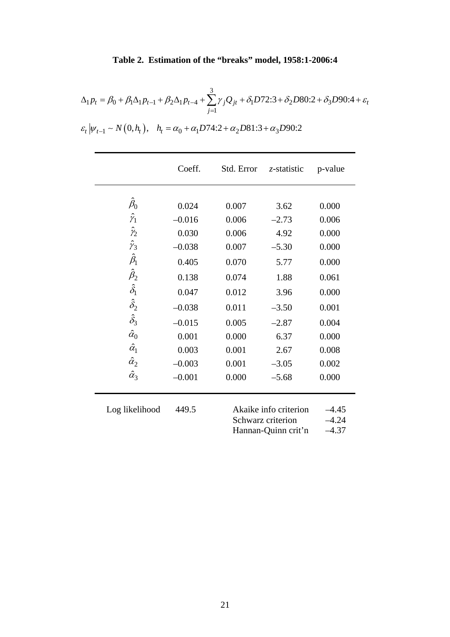## **Table 2. Estimation of the "breaks" model, 1958:1-2006:4**

$$
\Delta_1 p_t = \beta_0 + \beta_1 \Delta_1 p_{t-1} + \beta_2 \Delta_1 p_{t-4} + \sum_{j=1}^3 \gamma_j Q_{jt} + \delta_1 D72.3 + \delta_2 D80.2 + \delta_3 D90.4 + \varepsilon_t
$$

 $\varepsilon_t | \psi_{t-1} \sim N(0, h_t), \quad h_t = \alpha_0 + \alpha_1 D74:2 + \alpha_2 D81:3 + \alpha_3 D90:2$ 

|                  | Coeff.   | Std. Error                                 | z-statistic | p-value            |
|------------------|----------|--------------------------------------------|-------------|--------------------|
|                  |          |                                            |             |                    |
| $\hat{\beta}_0$  | 0.024    | 0.007                                      | 3.62        | 0.000              |
| $\hat{\gamma}_1$ | $-0.016$ | 0.006                                      | $-2.73$     | 0.006              |
| $\hat{\gamma}_2$ | 0.030    | 0.006                                      | 4.92        | 0.000              |
| $\hat{\gamma}_3$ | $-0.038$ | 0.007                                      | $-5.30$     | 0.000              |
| $\hat{\beta}_1$  | 0.405    | 0.070                                      | 5.77        | 0.000              |
| $\hat{\beta}_2$  | 0.138    | 0.074                                      | 1.88        | 0.061              |
| $\hat{\delta_1}$ | 0.047    | 0.012                                      | 3.96        | 0.000              |
| $\hat{\delta}_2$ | $-0.038$ | 0.011                                      | $-3.50$     | 0.001              |
| $\hat{\delta}_3$ | $-0.015$ | 0.005                                      | $-2.87$     | 0.004              |
| $\hat{\alpha}_0$ | 0.001    | 0.000                                      | 6.37        | 0.000              |
| $\hat{\alpha}_1$ | 0.003    | 0.001                                      | 2.67        | 0.008              |
| $\hat{\alpha}_2$ | $-0.003$ | 0.001                                      | $-3.05$     | 0.002              |
| $\hat{\alpha}_3$ | $-0.001$ | 0.000                                      | $-5.68$     | 0.000              |
| Log likelihood   | 449.5    | Akaike info criterion<br>Schwarz criterion |             | $-4.45$<br>$-4.24$ |
|                  |          | Hannan-Quinn crit'n                        |             | $-4.37$            |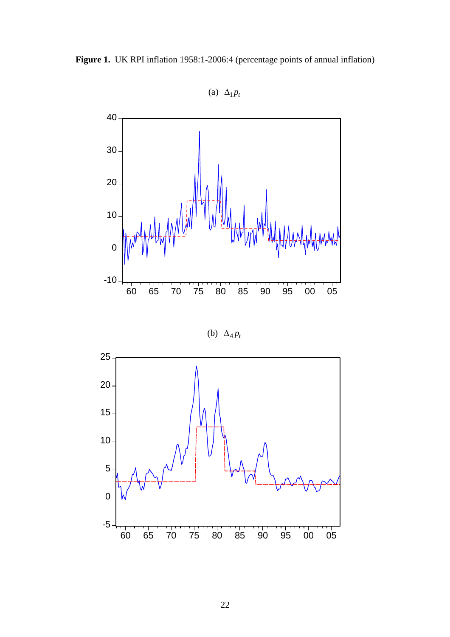



(a)  $\Delta_1 p_t$ 



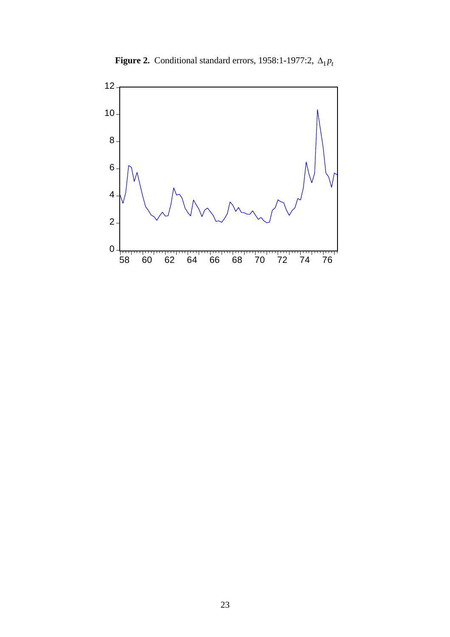

**Figure 2.** Conditional standard errors, 1958:1-1977:2,  $\Delta_1 p_t$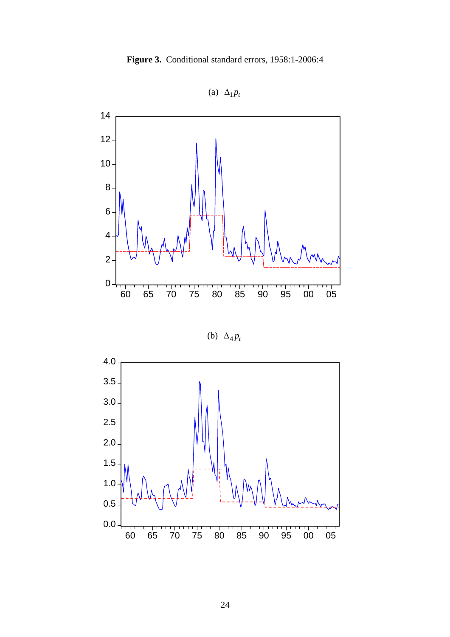



(a)  $\Delta_1 p_t$ 

(b)  $\Delta_4 p_t$ 

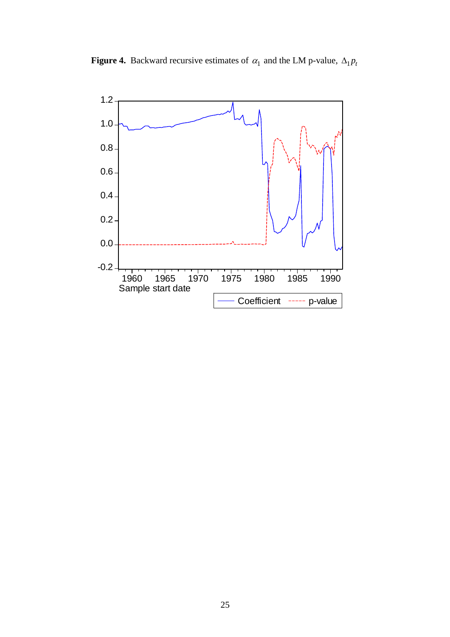

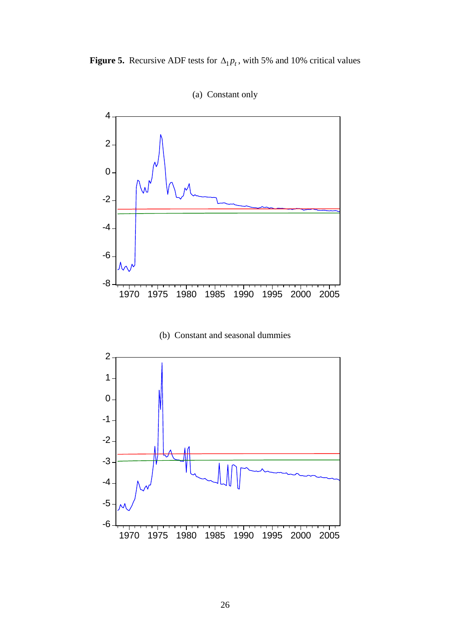



(a) Constant only

(b) Constant and seasonal dummies